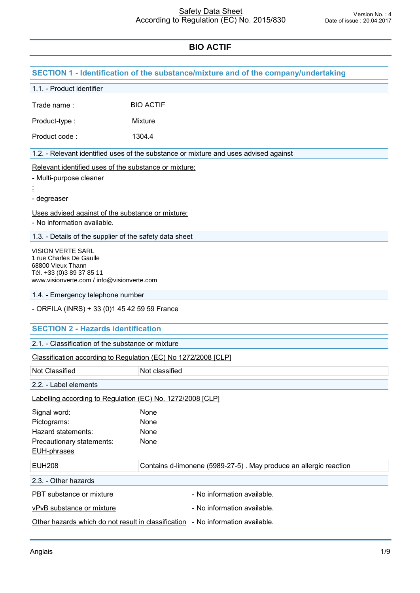|                                                                                                                                                     | SECTION 1 - Identification of the substance/mixture and of the company/undertaking   |
|-----------------------------------------------------------------------------------------------------------------------------------------------------|--------------------------------------------------------------------------------------|
| 1.1. - Product identifier                                                                                                                           |                                                                                      |
| Trade name:                                                                                                                                         | <b>BIO ACTIF</b>                                                                     |
| Product-type:                                                                                                                                       | Mixture                                                                              |
| Product code:                                                                                                                                       | 1304.4                                                                               |
|                                                                                                                                                     | 1.2. - Relevant identified uses of the substance or mixture and uses advised against |
|                                                                                                                                                     | Relevant identified uses of the substance or mixture:                                |
| - Multi-purpose cleaner                                                                                                                             |                                                                                      |
| - degreaser                                                                                                                                         |                                                                                      |
| - No information available.                                                                                                                         | Uses advised against of the substance or mixture:                                    |
|                                                                                                                                                     | 1.3. - Details of the supplier of the safety data sheet                              |
| <b>VISION VERTE SARL</b><br>1 rue Charles De Gaulle<br>68800 Vieux Thann<br>Tél. +33 (0)3 89 37 85 11<br>www.visionverte.com / info@visionverte.com |                                                                                      |
| 1.4. - Emergency telephone number                                                                                                                   |                                                                                      |
| - ORFILA (INRS) + 33 (0)1 45 42 59 59 France                                                                                                        |                                                                                      |
| <b>SECTION 2 - Hazards identification</b>                                                                                                           |                                                                                      |
| 2.1. - Classification of the substance or mixture                                                                                                   |                                                                                      |
|                                                                                                                                                     | Classification according to Regulation (EC) No 1272/2008 [CLP]                       |
| Not Classified                                                                                                                                      | Not classified                                                                       |
| 2.2. - Label elements                                                                                                                               |                                                                                      |
|                                                                                                                                                     | Labelling according to Regulation (EC) No. 1272/2008 [CLP]                           |
| Signal word:                                                                                                                                        | None                                                                                 |
| Pictograms:                                                                                                                                         | None                                                                                 |
| Hazard statements:<br>Precautionary statements:                                                                                                     | None<br>None                                                                         |
| <b>EUH-phrases</b>                                                                                                                                  |                                                                                      |
| <b>EUH208</b>                                                                                                                                       | Contains d-limonene (5989-27-5). May produce an allergic reaction                    |
| 2.3. - Other hazards                                                                                                                                |                                                                                      |
| PBT substance or mixture                                                                                                                            | - No information available.                                                          |
| vPvB substance or mixture                                                                                                                           | - No information available.                                                          |
|                                                                                                                                                     | Other hazards which do not result in classification - No information available.      |
|                                                                                                                                                     |                                                                                      |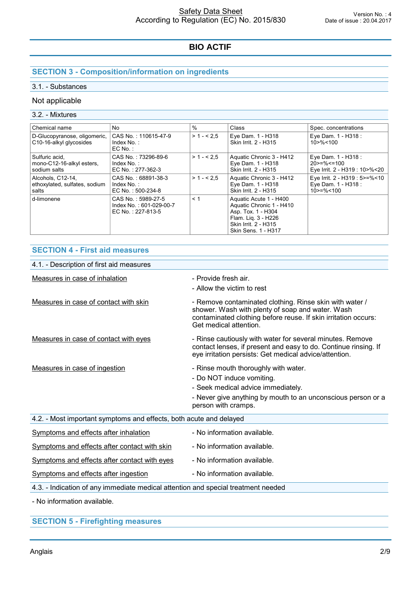# **SECTION 3 - Composition/information on ingredients**

### 3.1. - Substances

### Not applicable

### 3.2. - Mixtures

| Chemical name                                               | No.                                                                | %           | Class                                                                                                                                          | Spec. concentrations                                                     |
|-------------------------------------------------------------|--------------------------------------------------------------------|-------------|------------------------------------------------------------------------------------------------------------------------------------------------|--------------------------------------------------------------------------|
| D-Glucopyranose, oligomeric,<br>C10-16-alkyl glycosides     | CAS No.: 110615-47-9<br>Index No.:<br>$EC$ No. :                   | $> 1 - 5.5$ | Eye Dam. 1 - H318<br>Skin Irrit. 2 - H315                                                                                                      | Eye Dam. 1 - H318 :<br>10 > % < 100                                      |
| Sulfuric acid,<br>mono-C12-16-alkyl esters,<br>sodium salts | CAS No.: 73296-89-6<br>Index No.:<br>EC No.: 277-362-3             | $>1 - 2.5$  | Aquatic Chronic 3 - H412<br>Eye Dam. 1 - H318<br>Skin Irrit. 2 - H315                                                                          | Eye Dam. 1 - H318 :<br>$20>=\%<=100$<br>Eye Irrit. 2 - H319 : 10>%<20    |
| Alcohols, C12-14.<br>ethoxylated, sulfates, sodium<br>salts | CAS No.: 68891-38-3<br>Index No.:<br>EC No.: 500-234-8             | $>1 - 2.5$  | Aquatic Chronic 3 - H412<br>Eye Dam. 1 - H318<br>Skin Irrit. 2 - H315                                                                          | Eye Irrit. 2 - H319 : 5>=%<10<br>Eye Dam. 1 - H318 :<br>$10$ > = % < 100 |
| d-limonene                                                  | CAS No.: 5989-27-5<br>Index No.: 601-029-00-7<br>EC No.: 227-813-5 | < 1         | Aquatic Acute 1 - H400<br>Aquatic Chronic 1 - H410<br>Asp. Tox. 1 - H304<br>Flam. Lig. 3 - H226<br>Skin Irrit. 2 - H315<br>Skin Sens. 1 - H317 |                                                                          |

### **SECTION 4 - First aid measures**

| 4.1. - Description of first aid measures                                          |                                                                                                                                                                                                         |
|-----------------------------------------------------------------------------------|---------------------------------------------------------------------------------------------------------------------------------------------------------------------------------------------------------|
| Measures in case of inhalation                                                    | - Provide fresh air.<br>- Allow the victim to rest                                                                                                                                                      |
| Measures in case of contact with skin                                             | - Remove contaminated clothing. Rinse skin with water /<br>shower. Wash with plenty of soap and water. Wash<br>contaminated clothing before reuse. If skin irritation occurs:<br>Get medical attention. |
| Measures in case of contact with eyes                                             | - Rinse cautiously with water for several minutes. Remove<br>contact lenses, if present and easy to do. Continue rinsing. If<br>eye irritation persists: Get medical advice/attention.                  |
| Measures in case of ingestion                                                     | - Rinse mouth thoroughly with water.<br>- Do NOT induce vomiting.<br>- Seek medical advice immediately.<br>- Never give anything by mouth to an unconscious person or a<br>person with cramps.          |
| 4.2. - Most important symptoms and effects, both acute and delayed                |                                                                                                                                                                                                         |
| Symptoms and effects after inhalation                                             | - No information available.                                                                                                                                                                             |
| Symptoms and effects after contact with skin                                      | - No information available.                                                                                                                                                                             |
| Symptoms and effects after contact with eyes                                      | - No information available.                                                                                                                                                                             |
| Symptoms and effects after ingestion                                              | - No information available.                                                                                                                                                                             |
| 4.3. - Indication of any immediate medical attention and special treatment needed |                                                                                                                                                                                                         |
| - No information available.                                                       |                                                                                                                                                                                                         |

**SECTION 5 - Firefighting measures**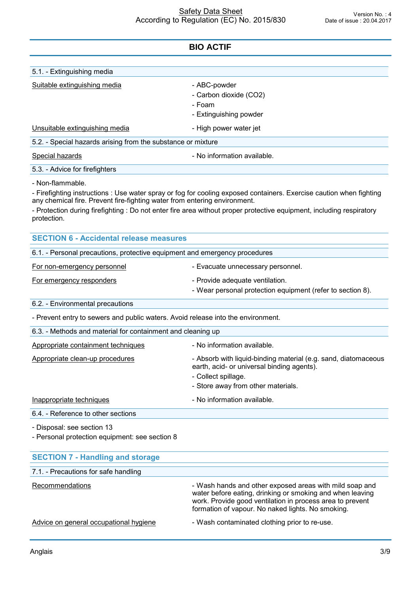| 5.1. - Extinguishing media                                                |                                                                                                                      |
|---------------------------------------------------------------------------|----------------------------------------------------------------------------------------------------------------------|
| Suitable extinguishing media                                              | - ABC-powder                                                                                                         |
|                                                                           | - Carbon dioxide (CO2)                                                                                               |
|                                                                           | - Foam                                                                                                               |
|                                                                           | - Extinguishing powder                                                                                               |
| Unsuitable extinguishing media                                            | - High power water jet                                                                                               |
| 5.2. - Special hazards arising from the substance or mixture              |                                                                                                                      |
| Special hazards                                                           | - No information available.                                                                                          |
| 5.3. - Advice for firefighters                                            |                                                                                                                      |
| - Non-flammable.                                                          |                                                                                                                      |
| any chemical fire. Prevent fire-fighting water from entering environment. | - Firefighting instructions : Use water spray or fog for cooling exposed containers. Exercise caution when fighting  |
| protection.                                                               | - Protection during firefighting : Do not enter fire area without proper protective equipment, including respiratory |

| <b>SECTION 6 - Accidental release measures</b>                                   |                                                                                               |
|----------------------------------------------------------------------------------|-----------------------------------------------------------------------------------------------|
| 6.1. - Personal precautions, protective equipment and emergency procedures       |                                                                                               |
| For non-emergency personnel                                                      | - Evacuate unnecessary personnel.                                                             |
| For emergency responders                                                         | - Provide adequate ventilation.<br>- Wear personal protection equipment (refer to section 8). |
| 6.2. - Environmental precautions                                                 |                                                                                               |
| - Prevent entry to sewers and public waters. Avoid release into the environment. |                                                                                               |
| 6.3. - Methods and material for containment and cleaning up                      |                                                                                               |

| Appropriate containment techniques | - No information available.                                                                                                                                               |  |
|------------------------------------|---------------------------------------------------------------------------------------------------------------------------------------------------------------------------|--|
| Appropriate clean-up procedures    | - Absorb with liquid-binding material (e.g. sand, diatomaceous<br>earth, acid- or universal binding agents).<br>- Collect spillage.<br>- Store away from other materials. |  |
| Inappropriate techniques           | - No information available.                                                                                                                                               |  |
| 6.4. - Reference to other sections |                                                                                                                                                                           |  |

- Disposal: see section 13

- Personal protection equipment: see section 8

| <b>SECTION 7 - Handling and storage</b> |                                                                                                                                                                                                                                        |
|-----------------------------------------|----------------------------------------------------------------------------------------------------------------------------------------------------------------------------------------------------------------------------------------|
| 7.1. - Precautions for safe handling    |                                                                                                                                                                                                                                        |
| Recommendations                         | - Wash hands and other exposed areas with mild soap and<br>water before eating, drinking or smoking and when leaving<br>work. Provide good ventilation in process area to prevent<br>formation of vapour. No naked lights. No smoking. |
| Advice on general occupational hygiene  | - Wash contaminated clothing prior to re-use.                                                                                                                                                                                          |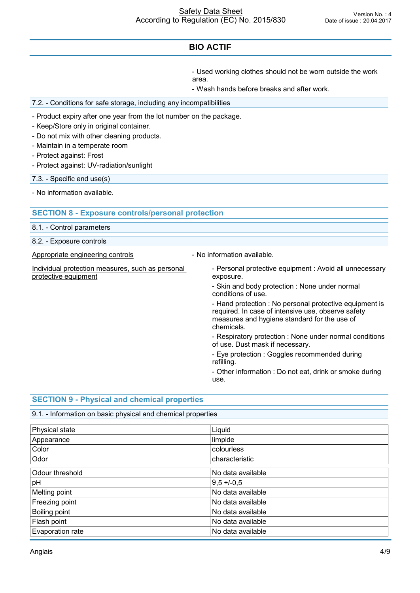- Used working clothes should not be worn outside the work area.

- Wash hands before breaks and after work.

7.2. - Conditions for safe storage, including any incompatibilities

- Product expiry after one year from the lot number on the package.

- Keep/Store only in original container.
- Do not mix with other cleaning products.
- Maintain in a temperate room
- Protect against: Frost
- Protect against: UV-radiation/sunlight

7.3. - Specific end use(s)

- No information available.

### **SECTION 8 - Exposure controls/personal protection**

8.1. - Control parameters

8.2. - Exposure controls

Appropriate engineering controls **Auditor** - No information available.

Individual protection measures, such as personal

Individual protection measures, such as personal exposure.<br>  $\blacksquare$  Personal protective equipment : Avoid all unnecessary<br>
exposure. exposure.

> - Skin and body protection : None under normal conditions of use.

- Hand protection : No personal protective equipment is required. In case of intensive use, observe safety measures and hygiene standard for the use of chemicals.

- Respiratory protection : None under normal conditions of use. Dust mask if necessary.

- Eye protection : Goggles recommended during refilling.

- Other information : Do not eat, drink or smoke during use.

### **SECTION 9 - Physical and chemical properties**

# 9.1. - Information on basic physical and chemical properties

| Physical state   | Liquid            |
|------------------|-------------------|
| Appearance       | limpide           |
| Color            | colourless        |
| Odor             | characteristic    |
| Odour threshold  | No data available |
| pH               | $9,5 + (-0.5)$    |
| Melting point    | No data available |
| Freezing point   | No data available |
| Boiling point    | No data available |
| Flash point      | No data available |
| Evaporation rate | No data available |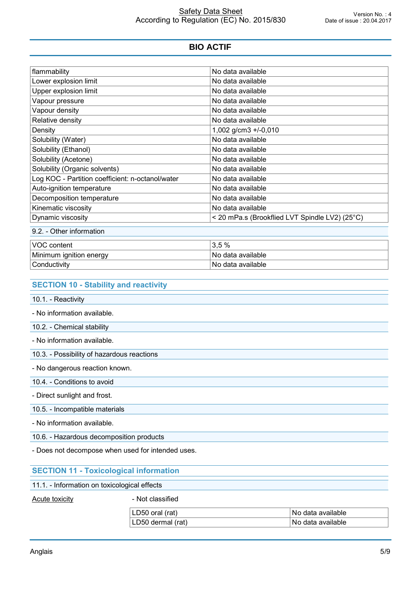| flammability                                     | No data available                              |
|--------------------------------------------------|------------------------------------------------|
| Lower explosion limit                            | No data available                              |
| Upper explosion limit                            | No data available                              |
| Vapour pressure                                  | No data available                              |
| Vapour density                                   | No data available                              |
| Relative density                                 | No data available                              |
| Density                                          | 1,002 g/cm3 +/-0,010                           |
| Solubility (Water)                               | No data available                              |
| Solubility (Ethanol)                             | No data available                              |
| Solubility (Acetone)                             | No data available                              |
| Solubility (Organic solvents)                    | No data available                              |
| Log KOC - Partition coefficient: n-octanol/water | No data available                              |
| Auto-ignition temperature                        | No data available                              |
| Decomposition temperature                        | No data available                              |
| Kinematic viscosity                              | No data available                              |
| Dynamic viscosity                                | < 20 mPa.s (Brookflied LVT Spindle LV2) (25°C) |

| VOC content             | -<br>$\%$<br>ິບ.ບ   |
|-------------------------|---------------------|
| Minimum ignition energy | l No data available |
| Conductivity            | l No data available |

### **SECTION 10 - Stability and reactivity**

10.1. - Reactivity

- No information available.

10.2. - Chemical stability

- No information available.

10.3. - Possibility of hazardous reactions

- No dangerous reaction known.

10.4. - Conditions to avoid

- Direct sunlight and frost.

#### 10.5. - Incompatible materials

- No information available.

10.6. - Hazardous decomposition products

- Does not decompose when used for intended uses.

### **SECTION 11 - Toxicological information**

#### 11.1. - Information on toxicological effects

Acute toxicity **Acute is a set of the Acute toxicity - Not classified** 

| <br>๋ ገ50 ៶<br>(rat<br>available<br>⊡N∩.<br>ora.<br>data |  |
|----------------------------------------------------------|--|
| available<br>(rat<br>dermal<br>35()<br>No data<br>. .    |  |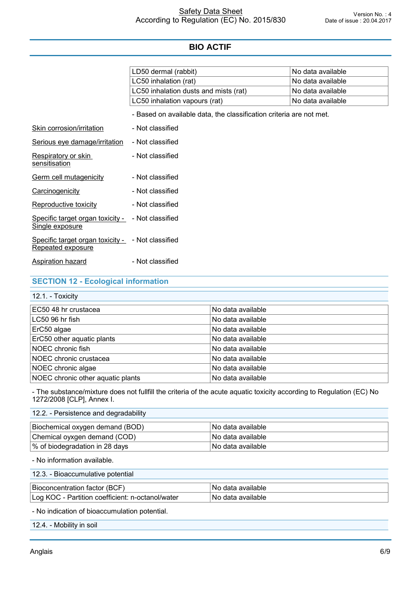|                                                                        | LD50 dermal (rabbit)                                                | No data available |
|------------------------------------------------------------------------|---------------------------------------------------------------------|-------------------|
|                                                                        | LC50 inhalation (rat)                                               | No data available |
|                                                                        | LC50 inhalation dusts and mists (rat)                               | No data available |
|                                                                        | LC50 inhalation vapours (rat)                                       | No data available |
|                                                                        | - Based on available data, the classification criteria are not met. |                   |
| Skin corrosion/irritation                                              | - Not classified                                                    |                   |
| Serious eye damage/irritation                                          | - Not classified                                                    |                   |
| Respiratory or skin<br>sensitisation                                   | - Not classified                                                    |                   |
| Germ cell mutagenicity                                                 | - Not classified                                                    |                   |
| Carcinogenicity                                                        | - Not classified                                                    |                   |
| Reproductive toxicity                                                  | - Not classified                                                    |                   |
| Specific target organ toxicity -<br>Single exposure                    | - Not classified                                                    |                   |
| Specific target organ toxicity - - Not classified<br>Repeated exposure |                                                                     |                   |
| <b>Aspiration hazard</b>                                               | - Not classified                                                    |                   |

### **SECTION 12 - Ecological information**

12.1. - Toxicity

| No data available |  |
|-------------------|--|
| No data available |  |
| No data available |  |
| No data available |  |
| No data available |  |
| No data available |  |
| No data available |  |
| No data available |  |
|                   |  |

- The substance/mixture does not fullfill the criteria of the acute aquatic toxicity according to Regulation (EC) No 1272/2008 [CLP], Annex I.

### 12.2. - Persistence and degradability

| Biochemical oxygen demand (BOD) | ∣No data available l  |
|---------------------------------|-----------------------|
| Chemical oyxgen demand (COD)    | ∣No data available l  |
| % of biodegradation in 28 days  | l No data available l |

- No information available.

| <b>Ric</b><br>able<br>N<br>►<br>. m<br>. U V . | botential<br>$-1$ |  |
|------------------------------------------------|-------------------|--|
|                                                |                   |  |

Log KOC - Partition coefficient: n-octanol/water No data available

- No indication of bioaccumulation potential.

12.4. - Mobility in soil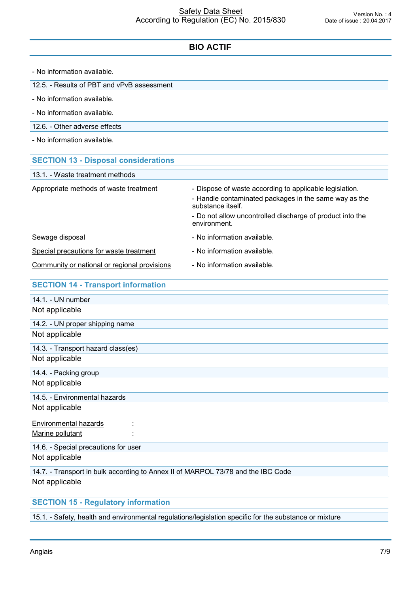| - No information available.                                                                        |                                                                            |
|----------------------------------------------------------------------------------------------------|----------------------------------------------------------------------------|
| 12.5. - Results of PBT and vPvB assessment                                                         |                                                                            |
| - No information available.                                                                        |                                                                            |
| - No information available.                                                                        |                                                                            |
| 12.6. - Other adverse effects                                                                      |                                                                            |
| - No information available.                                                                        |                                                                            |
| <b>SECTION 13 - Disposal considerations</b>                                                        |                                                                            |
| 13.1. - Waste treatment methods                                                                    |                                                                            |
| Appropriate methods of waste treatment                                                             | - Dispose of waste according to applicable legislation.                    |
|                                                                                                    | - Handle contaminated packages in the same way as the<br>substance itself. |
|                                                                                                    | - Do not allow uncontrolled discharge of product into the<br>environment.  |
| Sewage disposal                                                                                    | - No information available.                                                |
| Special precautions for waste treatment                                                            | - No information available.                                                |
| Community or national or regional provisions                                                       | - No information available.                                                |
| <b>SECTION 14 - Transport information</b>                                                          |                                                                            |
| 14.1. - UN number                                                                                  |                                                                            |
| Not applicable                                                                                     |                                                                            |
| 14.2. - UN proper shipping name                                                                    |                                                                            |
| Not applicable                                                                                     |                                                                            |
| 14.3. - Transport hazard class(es)                                                                 |                                                                            |
| Not applicable                                                                                     |                                                                            |
| 14.4. - Packing group                                                                              |                                                                            |
| Not applicable                                                                                     |                                                                            |
| 14.5. - Environmental hazards                                                                      |                                                                            |
| Not applicable                                                                                     |                                                                            |
| <b>Environmental hazards</b><br>Marine pollutant                                                   |                                                                            |
| 14.6. - Special precautions for user                                                               |                                                                            |
| Not applicable                                                                                     |                                                                            |
| 14.7. - Transport in bulk according to Annex II of MARPOL 73/78 and the IBC Code<br>Not applicable |                                                                            |

# **SECTION 15 - Regulatory information**

15.1. - Safety, health and environmental regulations/legislation specific for the substance or mixture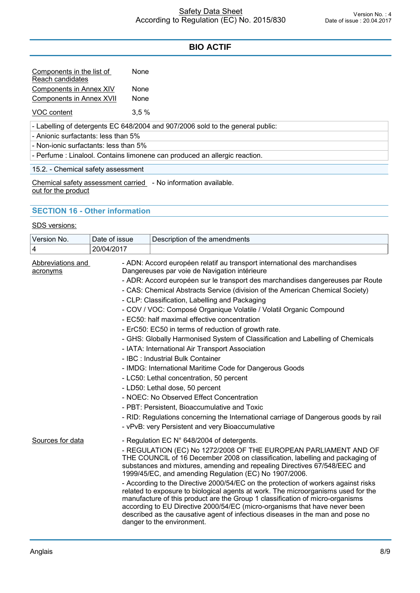| Components in the list of<br>Reach candidates | None        |
|-----------------------------------------------|-------------|
| Components in Annex XIV                       | None        |
| Components in Annex XVII                      | <b>None</b> |

VOC content 3,5 %

- Labelling of detergents EC 648/2004 and 907/2006 sold to the general public:

- Anionic surfactants: less than 5%

- Non-ionic surfactants: less than 5%

- Perfume : Linalool. Contains limonene can produced an allergic reaction.

15.2. - Chemical safety assessment

Chemical safety assessment carried - No information available.<br>out for the product

### **SECTION 16 - Other information**

#### SDS versions:

| Version No.                   | Date of issue | Description of the amendments                                                                                                                                                                                                                                                                                                                                                                                                                                                                                                                                                                                                                                                                                                                                                                                                                                                                                                                                                                                                                                                            |
|-------------------------------|---------------|------------------------------------------------------------------------------------------------------------------------------------------------------------------------------------------------------------------------------------------------------------------------------------------------------------------------------------------------------------------------------------------------------------------------------------------------------------------------------------------------------------------------------------------------------------------------------------------------------------------------------------------------------------------------------------------------------------------------------------------------------------------------------------------------------------------------------------------------------------------------------------------------------------------------------------------------------------------------------------------------------------------------------------------------------------------------------------------|
| 4                             | 20/04/2017    |                                                                                                                                                                                                                                                                                                                                                                                                                                                                                                                                                                                                                                                                                                                                                                                                                                                                                                                                                                                                                                                                                          |
| Abbreviations and<br>acronyms |               | - ADN: Accord européen relatif au transport international des marchandises<br>Dangereuses par voie de Navigation intérieure<br>- ADR: Accord européen sur le transport des marchandises dangereuses par Route<br>- CAS: Chemical Abstracts Service (division of the American Chemical Society)<br>- CLP: Classification, Labelling and Packaging<br>- COV / VOC: Composé Organique Volatile / Volatil Organic Compound<br>- EC50: half maximal effective concentration<br>- ErC50: EC50 in terms of reduction of growth rate.<br>- GHS: Globally Harmonised System of Classification and Labelling of Chemicals<br>- IATA: International Air Transport Association<br>- IBC : Industrial Bulk Container<br>- IMDG: International Maritime Code for Dangerous Goods<br>- LC50: Lethal concentration, 50 percent<br>- LD50: Lethal dose, 50 percent<br>- NOEC: No Observed Effect Concentration<br>- PBT: Persistent, Bioaccumulative and Toxic<br>- RID: Regulations concerning the International carriage of Dangerous goods by rail<br>- vPvB: very Persistent and very Bioaccumulative |
| Sources for data              |               | - Regulation EC N° 648/2004 of detergents.<br>- REGULATION (EC) No 1272/2008 OF THE EUROPEAN PARLIAMENT AND OF<br>THE COUNCIL of 16 December 2008 on classification, labelling and packaging of<br>substances and mixtures, amending and repealing Directives 67/548/EEC and<br>1999/45/EC, and amending Regulation (EC) No 1907/2006.<br>- According to the Directive 2000/54/EC on the protection of workers against risks<br>related to exposure to biological agents at work. The microorganisms used for the<br>manufacture of this product are the Group 1 classification of micro-organisms<br>according to EU Directive 2000/54/EC (micro-organisms that have never been<br>described as the causative agent of infectious diseases in the man and pose no<br>danger to the environment.                                                                                                                                                                                                                                                                                         |